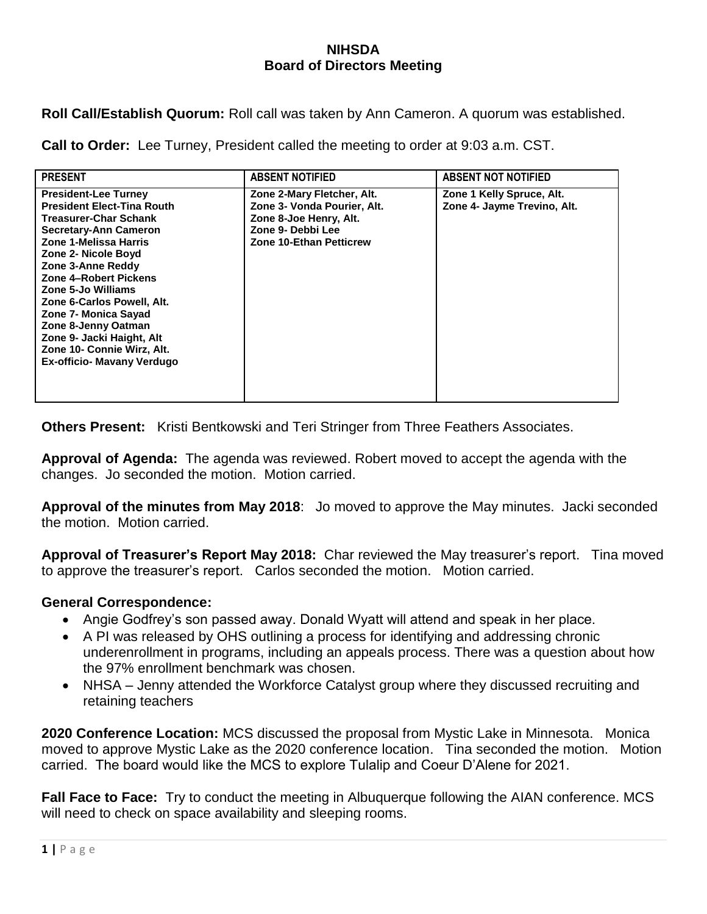## **NIHSDA Board of Directors Meeting**

**Roll Call/Establish Quorum:** Roll call was taken by Ann Cameron. A quorum was established.

**Call to Order:** Lee Turney, President called the meeting to order at 9:03 a.m. CST.

| <b>PRESENT</b>                                                                                                                                                                                                                                                                                                                                                                                                             | <b>ABSENT NOTIFIED</b>                                                                                                                     | <b>ABSENT NOT NOTIFIED</b>                               |
|----------------------------------------------------------------------------------------------------------------------------------------------------------------------------------------------------------------------------------------------------------------------------------------------------------------------------------------------------------------------------------------------------------------------------|--------------------------------------------------------------------------------------------------------------------------------------------|----------------------------------------------------------|
| <b>President-Lee Turney</b><br><b>President Elect-Tina Routh</b><br><b>Treasurer-Char Schank</b><br><b>Secretary-Ann Cameron</b><br>Zone 1-Melissa Harris<br>Zone 2- Nicole Boyd<br>Zone 3-Anne Reddy<br>Zone 4-Robert Pickens<br>Zone 5-Jo Williams<br>Zone 6-Carlos Powell, Alt.<br>Zone 7- Monica Sayad<br>Zone 8-Jenny Oatman<br>Zone 9- Jacki Haight, Alt<br>Zone 10- Connie Wirz, Alt.<br>Ex-officio- Mavany Verdugo | Zone 2-Mary Fletcher, Alt.<br>Zone 3- Vonda Pourier, Alt.<br>Zone 8-Joe Henry, Alt.<br>Zone 9- Debbi Lee<br><b>Zone 10-Ethan Petticrew</b> | Zone 1 Kelly Spruce, Alt.<br>Zone 4- Jayme Trevino, Alt. |

**Others Present:** Kristi Bentkowski and Teri Stringer from Three Feathers Associates.

**Approval of Agenda:** The agenda was reviewed. Robert moved to accept the agenda with the changes. Jo seconded the motion. Motion carried.

**Approval of the minutes from May 2018**: Jo moved to approve the May minutes. Jacki seconded the motion. Motion carried.

**Approval of Treasurer's Report May 2018:** Char reviewed the May treasurer's report. Tina moved to approve the treasurer's report. Carlos seconded the motion. Motion carried.

## **General Correspondence:**

- Angie Godfrey's son passed away. Donald Wyatt will attend and speak in her place.
- A PI was released by OHS outlining a process for identifying and addressing chronic underenrollment in programs, including an appeals process. There was a question about how the 97% enrollment benchmark was chosen.
- NHSA Jenny attended the Workforce Catalyst group where they discussed recruiting and retaining teachers

**2020 Conference Location:** MCS discussed the proposal from Mystic Lake in Minnesota. Monica moved to approve Mystic Lake as the 2020 conference location. Tina seconded the motion. Motion carried. The board would like the MCS to explore Tulalip and Coeur D'Alene for 2021.

**Fall Face to Face:** Try to conduct the meeting in Albuquerque following the AIAN conference. MCS will need to check on space availability and sleeping rooms.